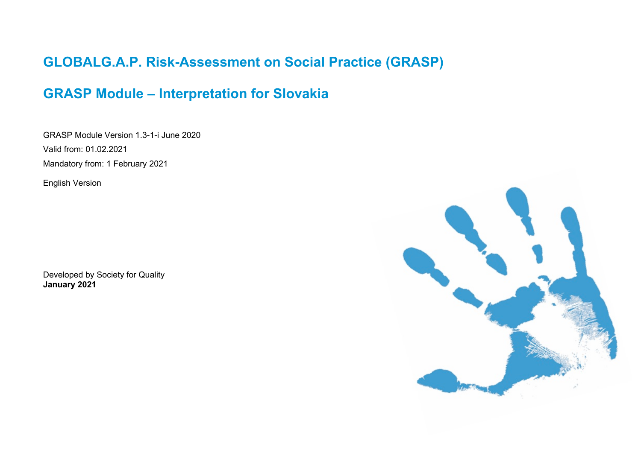# **GLOBALG.A.P. Risk-Assessment on Social Practice (GRASP)**

## **GRASP Module – Interpretation for Slovakia**

GRASP Module Version 1.3-1-i June 2020 Valid from: 01.02.2021 Mandatory from: 1 February 2021

English Version

Developed by Society for Quality **January 2021**

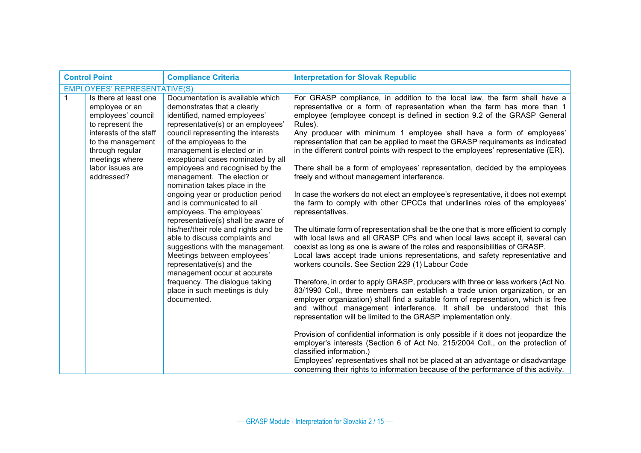| <b>Control Point</b><br><b>Compliance Criteria</b> |                                                                                                             |                                                                                                                                                                                                        | <b>Interpretation for Slovak Republic</b>                                                                                                                                                                                                                                                                                                                                                            |  |  |
|----------------------------------------------------|-------------------------------------------------------------------------------------------------------------|--------------------------------------------------------------------------------------------------------------------------------------------------------------------------------------------------------|------------------------------------------------------------------------------------------------------------------------------------------------------------------------------------------------------------------------------------------------------------------------------------------------------------------------------------------------------------------------------------------------------|--|--|
|                                                    | <b>EMPLOYEES' REPRESENTATIVE(S)</b>                                                                         |                                                                                                                                                                                                        |                                                                                                                                                                                                                                                                                                                                                                                                      |  |  |
| $\mathbf{1}$                                       | Is there at least one<br>employee or an<br>employees' council<br>to represent the<br>interests of the staff | Documentation is available which<br>demonstrates that a clearly<br>identified, named employees'<br>representative(s) or an employees'<br>council representing the interests                            | For GRASP compliance, in addition to the local law, the farm shall have a<br>representative or a form of representation when the farm has more than 1<br>employee (employee concept is defined in section 9.2 of the GRASP General<br>Rules).<br>Any producer with minimum 1 employee shall have a form of employees'                                                                                |  |  |
|                                                    | to the management<br>through regular<br>meetings where                                                      | of the employees to the<br>management is elected or in<br>exceptional cases nominated by all                                                                                                           | representation that can be applied to meet the GRASP requirements as indicated<br>in the different control points with respect to the employees' representative (ER).                                                                                                                                                                                                                                |  |  |
|                                                    | labor issues are<br>addressed?                                                                              | employees and recognised by the<br>management. The election or<br>nomination takes place in the                                                                                                        | There shall be a form of employees' representation, decided by the employees<br>freely and without management interference.                                                                                                                                                                                                                                                                          |  |  |
|                                                    |                                                                                                             | ongoing year or production period<br>and is communicated to all<br>employees. The employees'<br>representative(s) shall be aware of                                                                    | In case the workers do not elect an employee's representative, it does not exempt<br>the farm to comply with other CPCCs that underlines roles of the employees'<br>representatives.                                                                                                                                                                                                                 |  |  |
|                                                    |                                                                                                             | his/her/their role and rights and be<br>able to discuss complaints and<br>suggestions with the management.<br>Meetings between employees'<br>representative(s) and the<br>management occur at accurate | The ultimate form of representation shall be the one that is more efficient to comply<br>with local laws and all GRASP CPs and when local laws accept it, several can<br>coexist as long as one is aware of the roles and responsibilities of GRASP.<br>Local laws accept trade unions representations, and safety representative and<br>workers councils. See Section 229 (1) Labour Code           |  |  |
|                                                    |                                                                                                             | frequency. The dialogue taking<br>place in such meetings is duly<br>documented.                                                                                                                        | Therefore, in order to apply GRASP, producers with three or less workers (Act No.<br>83/1990 Coll., three members can establish a trade union organization, or an<br>employer organization) shall find a suitable form of representation, which is free<br>and without management interference. It shall be understood that this<br>representation will be limited to the GRASP implementation only. |  |  |
|                                                    |                                                                                                             |                                                                                                                                                                                                        | Provision of confidential information is only possible if it does not jeopardize the<br>employer's interests (Section 6 of Act No. 215/2004 Coll., on the protection of<br>classified information.)<br>Employees' representatives shall not be placed at an advantage or disadvantage<br>concerning their rights to information because of the performance of this activity.                         |  |  |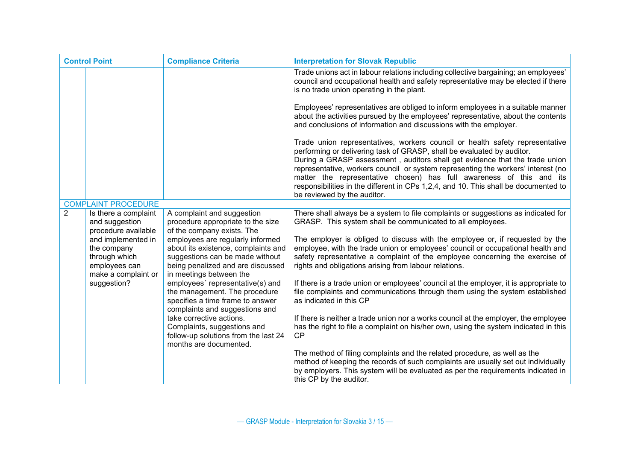| <b>Control Point</b> |                                                                                            | <b>Compliance Criteria</b>                                                                                                                                                 | <b>Interpretation for Slovak Republic</b>                                                                                                                                                                                                                                                                                                                                                                                                                                                                               |
|----------------------|--------------------------------------------------------------------------------------------|----------------------------------------------------------------------------------------------------------------------------------------------------------------------------|-------------------------------------------------------------------------------------------------------------------------------------------------------------------------------------------------------------------------------------------------------------------------------------------------------------------------------------------------------------------------------------------------------------------------------------------------------------------------------------------------------------------------|
|                      |                                                                                            |                                                                                                                                                                            | Trade unions act in labour relations including collective bargaining; an employees'<br>council and occupational health and safety representative may be elected if there<br>is no trade union operating in the plant.                                                                                                                                                                                                                                                                                                   |
|                      |                                                                                            |                                                                                                                                                                            | Employees' representatives are obliged to inform employees in a suitable manner<br>about the activities pursued by the employees' representative, about the contents<br>and conclusions of information and discussions with the employer.                                                                                                                                                                                                                                                                               |
|                      |                                                                                            |                                                                                                                                                                            | Trade union representatives, workers council or health safety representative<br>performing or delivering task of GRASP, shall be evaluated by auditor.<br>During a GRASP assessment, auditors shall get evidence that the trade union<br>representative, workers council or system representing the workers' interest (no<br>matter the representative chosen) has full awareness of this and its<br>responsibilities in the different in CPs 1,2,4, and 10. This shall be documented to<br>be reviewed by the auditor. |
|                      | <b>COMPLAINT PROCEDURE</b>                                                                 |                                                                                                                                                                            |                                                                                                                                                                                                                                                                                                                                                                                                                                                                                                                         |
| 2                    | Is there a complaint<br>and suggestion<br>procedure available                              | A complaint and suggestion<br>procedure appropriate to the size<br>of the company exists. The                                                                              | There shall always be a system to file complaints or suggestions as indicated for<br>GRASP. This system shall be communicated to all employees.                                                                                                                                                                                                                                                                                                                                                                         |
|                      | and implemented in<br>the company<br>through which<br>employees can<br>make a complaint or | employees are regularly informed<br>about its existence, complaints and<br>suggestions can be made without<br>being penalized and are discussed<br>in meetings between the | The employer is obliged to discuss with the employee or, if requested by the<br>employee, with the trade union or employees' council or occupational health and<br>safety representative a complaint of the employee concerning the exercise of<br>rights and obligations arising from labour relations.                                                                                                                                                                                                                |
|                      | suggestion?                                                                                | employees' representative(s) and<br>the management. The procedure<br>specifies a time frame to answer<br>complaints and suggestions and                                    | If there is a trade union or employees' council at the employer, it is appropriate to<br>file complaints and communications through them using the system established<br>as indicated in this CP                                                                                                                                                                                                                                                                                                                        |
|                      |                                                                                            | take corrective actions.<br>Complaints, suggestions and<br>follow-up solutions from the last 24<br>months are documented.                                                  | If there is neither a trade union nor a works council at the employer, the employee<br>has the right to file a complaint on his/her own, using the system indicated in this<br>CP                                                                                                                                                                                                                                                                                                                                       |
|                      |                                                                                            |                                                                                                                                                                            | The method of filing complaints and the related procedure, as well as the<br>method of keeping the records of such complaints are usually set out individually<br>by employers. This system will be evaluated as per the requirements indicated in<br>this CP by the auditor.                                                                                                                                                                                                                                           |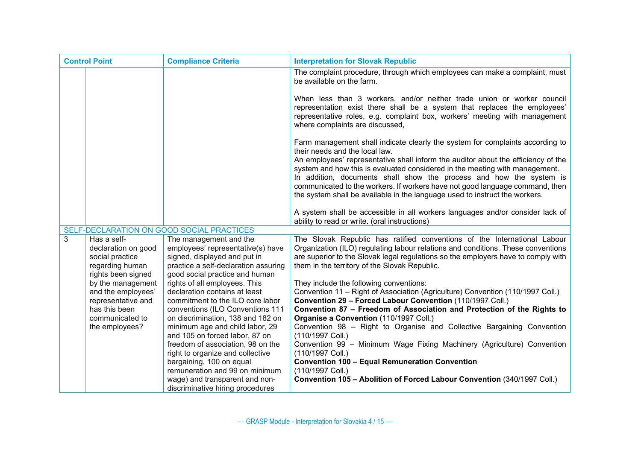| <b>Control Point</b> |                                                                          | <b>Compliance Criteria</b>                                                                                                          | <b>Interpretation for Slovak Republic</b>                                                                                                                                                                                                                                                          |
|----------------------|--------------------------------------------------------------------------|-------------------------------------------------------------------------------------------------------------------------------------|----------------------------------------------------------------------------------------------------------------------------------------------------------------------------------------------------------------------------------------------------------------------------------------------------|
|                      |                                                                          |                                                                                                                                     | The complaint procedure, through which employees can make a complaint, must<br>be available on the farm.                                                                                                                                                                                           |
|                      |                                                                          |                                                                                                                                     | When less than 3 workers, and/or neither trade union or worker council<br>representation exist there shall be a system that replaces the employees'<br>representative roles, e.g. complaint box, workers' meeting with management<br>where complaints are discussed,                               |
|                      |                                                                          |                                                                                                                                     | Farm management shall indicate clearly the system for complaints according to<br>their needs and the local law.<br>An employees' representative shall inform the auditor about the efficiency of the<br>system and how this is evaluated considered in the meeting with management.                |
|                      |                                                                          |                                                                                                                                     | In addition, documents shall show the process and how the system is<br>communicated to the workers. If workers have not good language command, then<br>the system shall be available in the language used to instruct the workers.                                                                 |
|                      |                                                                          |                                                                                                                                     | A system shall be accessible in all workers languages and/or consider lack of<br>ability to read or write. (oral instructions)                                                                                                                                                                     |
|                      |                                                                          | SELF-DECLARATION ON GOOD SOCIAL PRACTICES                                                                                           |                                                                                                                                                                                                                                                                                                    |
| 3                    | Has a self-<br>declaration on good<br>social practice<br>regarding human | The management and the<br>employees' representative(s) have<br>signed, displayed and put in<br>practice a self-declaration assuring | The Slovak Republic has ratified conventions of the International Labour<br>Organization (ILO) regulating labour relations and conditions. These conventions<br>are superior to the Slovak legal regulations so the employers have to comply with<br>them in the territory of the Slovak Republic. |
|                      | rights been signed                                                       | good social practice and human                                                                                                      |                                                                                                                                                                                                                                                                                                    |
|                      | by the management                                                        | rights of all employees. This                                                                                                       | They include the following conventions:                                                                                                                                                                                                                                                            |
|                      | and the employees'                                                       | declaration contains at least                                                                                                       | Convention 11 - Right of Association (Agriculture) Convention (110/1997 Coll.)                                                                                                                                                                                                                     |
|                      | representative and<br>has this been                                      | commitment to the ILO core labor<br>conventions (ILO Conventions 111                                                                | Convention 29 - Forced Labour Convention (110/1997 Coll.)<br>Convention 87 - Freedom of Association and Protection of the Rights to                                                                                                                                                                |
|                      | communicated to                                                          | on discrimination, 138 and 182 on                                                                                                   | Organise a Convention (110/1997 Coll.)                                                                                                                                                                                                                                                             |
|                      | the employees?                                                           | minimum age and child labor, 29                                                                                                     | Convention 98 - Right to Organise and Collective Bargaining Convention                                                                                                                                                                                                                             |
|                      |                                                                          | and 105 on forced labor, 87 on                                                                                                      | (110/1997 Coll.)                                                                                                                                                                                                                                                                                   |
|                      |                                                                          | freedom of association, 98 on the                                                                                                   | Convention 99 - Minimum Wage Fixing Machinery (Agriculture) Convention                                                                                                                                                                                                                             |
|                      |                                                                          | right to organize and collective                                                                                                    | (110/1997 Coll.)                                                                                                                                                                                                                                                                                   |
|                      |                                                                          | bargaining, 100 on equal                                                                                                            | <b>Convention 100 - Equal Remuneration Convention</b>                                                                                                                                                                                                                                              |
|                      |                                                                          | remuneration and 99 on minimum                                                                                                      | (110/1997 Coll.)                                                                                                                                                                                                                                                                                   |
|                      |                                                                          | wage) and transparent and non-<br>discriminative hiring procedures                                                                  | Convention 105 - Abolition of Forced Labour Convention (340/1997 Coll.)                                                                                                                                                                                                                            |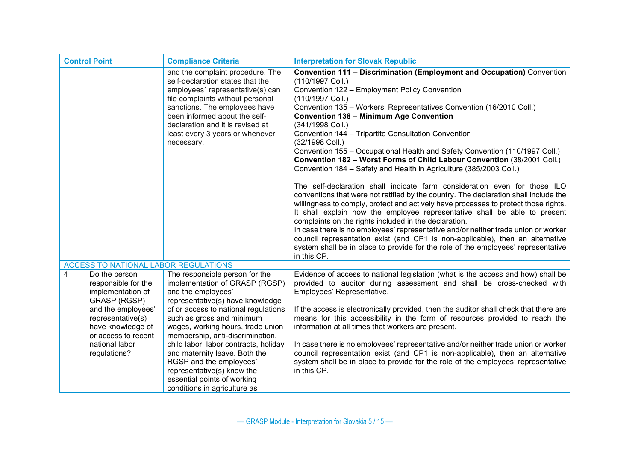| <b>Control Point</b>                 |                                                                                     | <b>Compliance Criteria</b>                                                                                                                                                                                                                                                                          | <b>Interpretation for Slovak Republic</b>                                                                                                                                                                                                                                                                                                                                                                                                                                                                                                                                                                                                                                                                                                                                                                                                                                                                                                                                                                                                                                                                                                                                                                                                                                                                   |
|--------------------------------------|-------------------------------------------------------------------------------------|-----------------------------------------------------------------------------------------------------------------------------------------------------------------------------------------------------------------------------------------------------------------------------------------------------|-------------------------------------------------------------------------------------------------------------------------------------------------------------------------------------------------------------------------------------------------------------------------------------------------------------------------------------------------------------------------------------------------------------------------------------------------------------------------------------------------------------------------------------------------------------------------------------------------------------------------------------------------------------------------------------------------------------------------------------------------------------------------------------------------------------------------------------------------------------------------------------------------------------------------------------------------------------------------------------------------------------------------------------------------------------------------------------------------------------------------------------------------------------------------------------------------------------------------------------------------------------------------------------------------------------|
|                                      |                                                                                     | and the complaint procedure. The<br>self-declaration states that the<br>employees' representative(s) can<br>file complaints without personal<br>sanctions. The employees have<br>been informed about the self-<br>declaration and it is revised at<br>least every 3 years or whenever<br>necessary. | <b>Convention 111 - Discrimination (Employment and Occupation)</b> Convention<br>(110/1997 Coll.)<br>Convention 122 - Employment Policy Convention<br>(110/1997 Coll.)<br>Convention 135 - Workers' Representatives Convention (16/2010 Coll.)<br><b>Convention 138 - Minimum Age Convention</b><br>(341/1998 Coll.)<br>Convention 144 - Tripartite Consultation Convention<br>(32/1998 Coll.)<br>Convention 155 - Occupational Health and Safety Convention (110/1997 Coll.)<br>Convention 182 - Worst Forms of Child Labour Convention (38/2001 Coll.)<br>Convention 184 - Safety and Health in Agriculture (385/2003 Coll.)<br>The self-declaration shall indicate farm consideration even for those ILO<br>conventions that were not ratified by the country. The declaration shall include the<br>willingness to comply, protect and actively have processes to protect those rights.<br>It shall explain how the employee representative shall be able to present<br>complaints on the rights included in the declaration.<br>In case there is no employees' representative and/or neither trade union or worker<br>council representation exist (and CP1 is non-applicable), then an alternative<br>system shall be in place to provide for the role of the employees' representative<br>in this CP. |
| ACCESS TO NATIONAL LABOR REGULATIONS |                                                                                     |                                                                                                                                                                                                                                                                                                     |                                                                                                                                                                                                                                                                                                                                                                                                                                                                                                                                                                                                                                                                                                                                                                                                                                                                                                                                                                                                                                                                                                                                                                                                                                                                                                             |
| $\overline{4}$                       | Do the person<br>responsible for the<br>implementation of<br><b>GRASP (RGSP)</b>    | The responsible person for the<br>implementation of GRASP (RGSP)<br>and the employees'<br>representative(s) have knowledge                                                                                                                                                                          | Evidence of access to national legislation (what is the access and how) shall be<br>provided to auditor during assessment and shall be cross-checked with<br>Employees' Representative.                                                                                                                                                                                                                                                                                                                                                                                                                                                                                                                                                                                                                                                                                                                                                                                                                                                                                                                                                                                                                                                                                                                     |
|                                      | and the employees'<br>representative(s)<br>have knowledge of<br>or access to recent | of or access to national regulations<br>such as gross and minimum<br>wages, working hours, trade union<br>membership, anti-discrimination,                                                                                                                                                          | If the access is electronically provided, then the auditor shall check that there are<br>means for this accessibility in the form of resources provided to reach the<br>information at all times that workers are present.                                                                                                                                                                                                                                                                                                                                                                                                                                                                                                                                                                                                                                                                                                                                                                                                                                                                                                                                                                                                                                                                                  |
|                                      | national labor<br>regulations?                                                      | child labor, labor contracts, holiday<br>and maternity leave. Both the<br>RGSP and the employees'<br>representative(s) know the<br>essential points of working<br>conditions in agriculture as                                                                                                      | In case there is no employees' representative and/or neither trade union or worker<br>council representation exist (and CP1 is non-applicable), then an alternative<br>system shall be in place to provide for the role of the employees' representative<br>in this CP.                                                                                                                                                                                                                                                                                                                                                                                                                                                                                                                                                                                                                                                                                                                                                                                                                                                                                                                                                                                                                                     |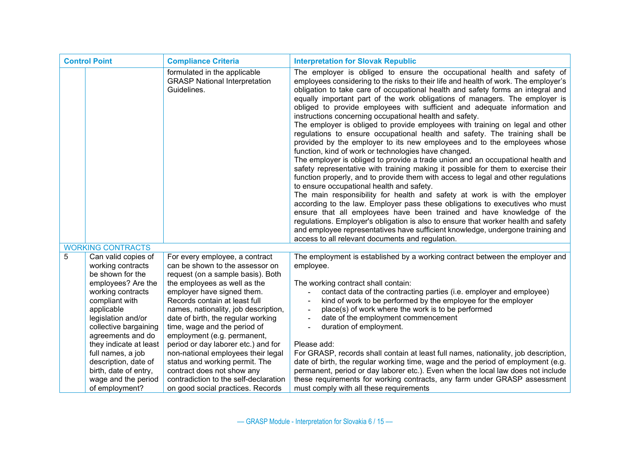| <b>Control Point</b> |                                                                                                                                                                                                                                                                                    | <b>Compliance Criteria</b>                                                                                                                                                                                                                                                                                                                                                                                                                                        | <b>Interpretation for Slovak Republic</b>                                                                                                                                                                                                                                                                                                                                                                                                                                                                                                                                                                                                                                                                                                                                                                                                                                                                                                                                                                                                                                                                                                                                                                                                                                                                                                                                                                                                                                                                                                                 |
|----------------------|------------------------------------------------------------------------------------------------------------------------------------------------------------------------------------------------------------------------------------------------------------------------------------|-------------------------------------------------------------------------------------------------------------------------------------------------------------------------------------------------------------------------------------------------------------------------------------------------------------------------------------------------------------------------------------------------------------------------------------------------------------------|-----------------------------------------------------------------------------------------------------------------------------------------------------------------------------------------------------------------------------------------------------------------------------------------------------------------------------------------------------------------------------------------------------------------------------------------------------------------------------------------------------------------------------------------------------------------------------------------------------------------------------------------------------------------------------------------------------------------------------------------------------------------------------------------------------------------------------------------------------------------------------------------------------------------------------------------------------------------------------------------------------------------------------------------------------------------------------------------------------------------------------------------------------------------------------------------------------------------------------------------------------------------------------------------------------------------------------------------------------------------------------------------------------------------------------------------------------------------------------------------------------------------------------------------------------------|
|                      |                                                                                                                                                                                                                                                                                    | formulated in the applicable<br><b>GRASP National Interpretation</b><br>Guidelines.                                                                                                                                                                                                                                                                                                                                                                               | The employer is obliged to ensure the occupational health and safety of<br>employees considering to the risks to their life and health of work. The employer's<br>obligation to take care of occupational health and safety forms an integral and<br>equally important part of the work obligations of managers. The employer is<br>obliged to provide employees with sufficient and adequate information and<br>instructions concerning occupational health and safety.<br>The employer is obliged to provide employees with training on legal and other<br>regulations to ensure occupational health and safety. The training shall be<br>provided by the employer to its new employees and to the employees whose<br>function, kind of work or technologies have changed.<br>The employer is obliged to provide a trade union and an occupational health and<br>safety representative with training making it possible for them to exercise their<br>function properly, and to provide them with access to legal and other regulations<br>to ensure occupational health and safety.<br>The main responsibility for health and safety at work is with the employer<br>according to the law. Employer pass these obligations to executives who must<br>ensure that all employees have been trained and have knowledge of the<br>regulations. Employer's obligation is also to ensure that worker health and safety<br>and employee representatives have sufficient knowledge, undergone training and<br>access to all relevant documents and regulation. |
|                      | <b>WORKING CONTRACTS</b>                                                                                                                                                                                                                                                           |                                                                                                                                                                                                                                                                                                                                                                                                                                                                   |                                                                                                                                                                                                                                                                                                                                                                                                                                                                                                                                                                                                                                                                                                                                                                                                                                                                                                                                                                                                                                                                                                                                                                                                                                                                                                                                                                                                                                                                                                                                                           |
| 5                    | Can valid copies of<br>working contracts<br>be shown for the<br>employees? Are the<br>working contracts<br>compliant with<br>applicable<br>legislation and/or<br>collective bargaining<br>agreements and do<br>they indicate at least<br>full names, a job<br>description, date of | For every employee, a contract<br>can be shown to the assessor on<br>request (on a sample basis). Both<br>the employees as well as the<br>employer have signed them.<br>Records contain at least full<br>names, nationality, job description,<br>date of birth, the regular working<br>time, wage and the period of<br>employment (e.g. permanent,<br>period or day laborer etc.) and for<br>non-national employees their legal<br>status and working permit. The | The employment is established by a working contract between the employer and<br>employee.<br>The working contract shall contain:<br>contact data of the contracting parties (i.e. employer and employee)<br>kind of work to be performed by the employee for the employer<br>place(s) of work where the work is to be performed<br>$\overline{\phantom{a}}$<br>date of the employment commencement<br>duration of employment.<br>Please add:<br>For GRASP, records shall contain at least full names, nationality, job description,<br>date of birth, the regular working time, wage and the period of employment (e.g.                                                                                                                                                                                                                                                                                                                                                                                                                                                                                                                                                                                                                                                                                                                                                                                                                                                                                                                                   |
|                      | birth, date of entry,<br>wage and the period<br>of employment?                                                                                                                                                                                                                     | contract does not show any<br>contradiction to the self-declaration<br>on good social practices. Records                                                                                                                                                                                                                                                                                                                                                          | permanent, period or day laborer etc.). Even when the local law does not include<br>these requirements for working contracts, any farm under GRASP assessment<br>must comply with all these requirements                                                                                                                                                                                                                                                                                                                                                                                                                                                                                                                                                                                                                                                                                                                                                                                                                                                                                                                                                                                                                                                                                                                                                                                                                                                                                                                                                  |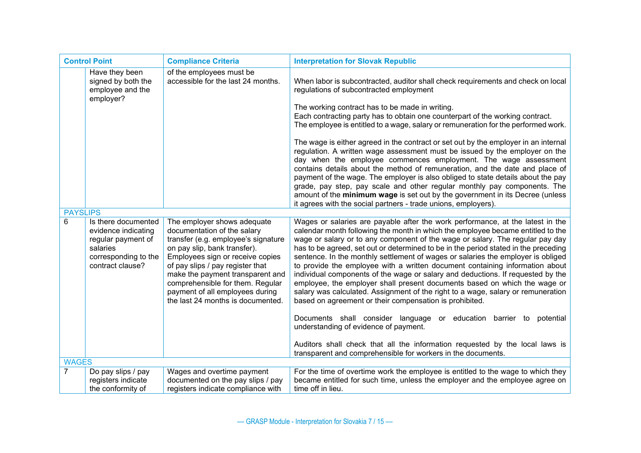| <b>Control Point</b> |                                                                                                                          | <b>Compliance Criteria</b>                                                                                                                                                                                                                                                                                                                                | <b>Interpretation for Slovak Republic</b>                                                                                                                                                                                                                                                                                                                                                                                                                                                                                                                                                                                                                                                                                                                                                                                                                                                                                                                                                                                                                                                       |
|----------------------|--------------------------------------------------------------------------------------------------------------------------|-----------------------------------------------------------------------------------------------------------------------------------------------------------------------------------------------------------------------------------------------------------------------------------------------------------------------------------------------------------|-------------------------------------------------------------------------------------------------------------------------------------------------------------------------------------------------------------------------------------------------------------------------------------------------------------------------------------------------------------------------------------------------------------------------------------------------------------------------------------------------------------------------------------------------------------------------------------------------------------------------------------------------------------------------------------------------------------------------------------------------------------------------------------------------------------------------------------------------------------------------------------------------------------------------------------------------------------------------------------------------------------------------------------------------------------------------------------------------|
|                      | Have they been<br>signed by both the<br>employee and the<br>employer?                                                    | of the employees must be<br>accessible for the last 24 months.                                                                                                                                                                                                                                                                                            | When labor is subcontracted, auditor shall check requirements and check on local<br>regulations of subcontracted employment<br>The working contract has to be made in writing.<br>Each contracting party has to obtain one counterpart of the working contract.<br>The employee is entitled to a wage, salary or remuneration for the performed work.<br>The wage is either agreed in the contract or set out by the employer in an internal<br>regulation. A written wage assessment must be issued by the employer on the<br>day when the employee commences employment. The wage assessment<br>contains details about the method of remuneration, and the date and place of<br>payment of the wage. The employer is also obliged to state details about the pay<br>grade, pay step, pay scale and other regular monthly pay components. The<br>amount of the minimum wage is set out by the government in its Decree (unless<br>it agrees with the social partners - trade unions, employers).                                                                                               |
| <b>PAYSLIPS</b>      |                                                                                                                          |                                                                                                                                                                                                                                                                                                                                                           |                                                                                                                                                                                                                                                                                                                                                                                                                                                                                                                                                                                                                                                                                                                                                                                                                                                                                                                                                                                                                                                                                                 |
| 6                    | Is there documented<br>evidence indicating<br>regular payment of<br>salaries<br>corresponding to the<br>contract clause? | The employer shows adequate<br>documentation of the salary<br>transfer (e.g. employee's signature<br>on pay slip, bank transfer).<br>Employees sign or receive copies<br>of pay slips / pay register that<br>make the payment transparent and<br>comprehensible for them. Regular<br>payment of all employees during<br>the last 24 months is documented. | Wages or salaries are payable after the work performance, at the latest in the<br>calendar month following the month in which the employee became entitled to the<br>wage or salary or to any component of the wage or salary. The regular pay day<br>has to be agreed, set out or determined to be in the period stated in the preceding<br>sentence. In the monthly settlement of wages or salaries the employer is obliged<br>to provide the employee with a written document containing information about<br>individual components of the wage or salary and deductions. If requested by the<br>employee, the employer shall present documents based on which the wage or<br>salary was calculated. Assignment of the right to a wage, salary or remuneration<br>based on agreement or their compensation is prohibited.<br>Documents shall consider language or education barrier to<br>potential<br>understanding of evidence of payment.<br>Auditors shall check that all the information requested by the local laws is<br>transparent and comprehensible for workers in the documents. |
| <b>WAGES</b>         |                                                                                                                          |                                                                                                                                                                                                                                                                                                                                                           |                                                                                                                                                                                                                                                                                                                                                                                                                                                                                                                                                                                                                                                                                                                                                                                                                                                                                                                                                                                                                                                                                                 |
| 7                    | Do pay slips / pay<br>registers indicate<br>the conformity of                                                            | Wages and overtime payment<br>documented on the pay slips / pay<br>registers indicate compliance with                                                                                                                                                                                                                                                     | For the time of overtime work the employee is entitled to the wage to which they<br>became entitled for such time, unless the employer and the employee agree on<br>time off in lieu.                                                                                                                                                                                                                                                                                                                                                                                                                                                                                                                                                                                                                                                                                                                                                                                                                                                                                                           |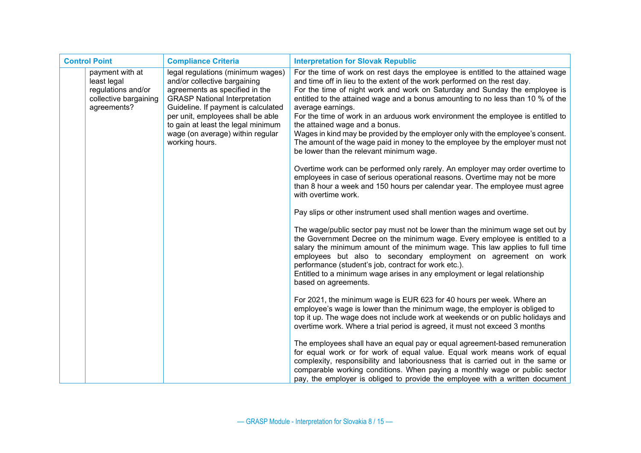| <b>Control Point</b> |                                                                                              | <b>Compliance Criteria</b>                                                                                                                                                                                                                                                                                          | <b>Interpretation for Slovak Republic</b>                                                                                                                                                                                                                                                                                                                                                                                                                                                                                                                                                                                                                                               |
|----------------------|----------------------------------------------------------------------------------------------|---------------------------------------------------------------------------------------------------------------------------------------------------------------------------------------------------------------------------------------------------------------------------------------------------------------------|-----------------------------------------------------------------------------------------------------------------------------------------------------------------------------------------------------------------------------------------------------------------------------------------------------------------------------------------------------------------------------------------------------------------------------------------------------------------------------------------------------------------------------------------------------------------------------------------------------------------------------------------------------------------------------------------|
|                      | payment with at<br>least legal<br>regulations and/or<br>collective bargaining<br>agreements? | legal regulations (minimum wages)<br>and/or collective bargaining<br>agreements as specified in the<br><b>GRASP National Interpretation</b><br>Guideline. If payment is calculated<br>per unit, employees shall be able<br>to gain at least the legal minimum<br>wage (on average) within regular<br>working hours. | For the time of work on rest days the employee is entitled to the attained wage<br>and time off in lieu to the extent of the work performed on the rest day.<br>For the time of night work and work on Saturday and Sunday the employee is<br>entitled to the attained wage and a bonus amounting to no less than 10 % of the<br>average earnings.<br>For the time of work in an arduous work environment the employee is entitled to<br>the attained wage and a bonus.<br>Wages in kind may be provided by the employer only with the employee's consent.<br>The amount of the wage paid in money to the employee by the employer must not<br>be lower than the relevant minimum wage. |
|                      |                                                                                              |                                                                                                                                                                                                                                                                                                                     | Overtime work can be performed only rarely. An employer may order overtime to<br>employees in case of serious operational reasons. Overtime may not be more<br>than 8 hour a week and 150 hours per calendar year. The employee must agree<br>with overtime work.                                                                                                                                                                                                                                                                                                                                                                                                                       |
|                      |                                                                                              |                                                                                                                                                                                                                                                                                                                     | Pay slips or other instrument used shall mention wages and overtime.                                                                                                                                                                                                                                                                                                                                                                                                                                                                                                                                                                                                                    |
|                      |                                                                                              |                                                                                                                                                                                                                                                                                                                     | The wage/public sector pay must not be lower than the minimum wage set out by<br>the Government Decree on the minimum wage. Every employee is entitled to a<br>salary the minimum amount of the minimum wage. This law applies to full time<br>employees but also to secondary employment on agreement on work<br>performance (student's job, contract for work etc.).<br>Entitled to a minimum wage arises in any employment or legal relationship<br>based on agreements.                                                                                                                                                                                                             |
|                      |                                                                                              |                                                                                                                                                                                                                                                                                                                     | For 2021, the minimum wage is EUR 623 for 40 hours per week. Where an<br>employee's wage is lower than the minimum wage, the employer is obliged to<br>top it up. The wage does not include work at weekends or on public holidays and<br>overtime work. Where a trial period is agreed, it must not exceed 3 months                                                                                                                                                                                                                                                                                                                                                                    |
|                      |                                                                                              |                                                                                                                                                                                                                                                                                                                     | The employees shall have an equal pay or equal agreement-based remuneration<br>for equal work or for work of equal value. Equal work means work of equal<br>complexity, responsibility and laboriousness that is carried out in the same or<br>comparable working conditions. When paying a monthly wage or public sector<br>pay, the employer is obliged to provide the employee with a written document                                                                                                                                                                                                                                                                               |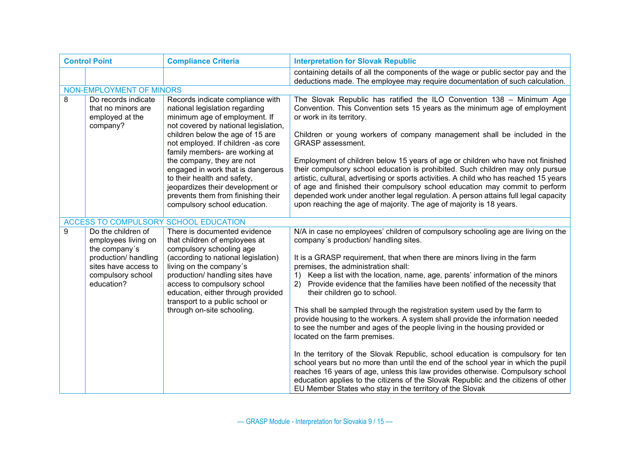| <b>Control Point</b>                                                                                                                          | <b>Compliance Criteria</b>                                                                                                                                                                                                                                                                                                                                                                                                                                         | <b>Interpretation for Slovak Republic</b>                                                                                                                                                                                                                                                                                                                                                                                                                                                                                                                                                                                                                                                                                                                                                                                                                                                                                                                                                                                                                                         |
|-----------------------------------------------------------------------------------------------------------------------------------------------|--------------------------------------------------------------------------------------------------------------------------------------------------------------------------------------------------------------------------------------------------------------------------------------------------------------------------------------------------------------------------------------------------------------------------------------------------------------------|-----------------------------------------------------------------------------------------------------------------------------------------------------------------------------------------------------------------------------------------------------------------------------------------------------------------------------------------------------------------------------------------------------------------------------------------------------------------------------------------------------------------------------------------------------------------------------------------------------------------------------------------------------------------------------------------------------------------------------------------------------------------------------------------------------------------------------------------------------------------------------------------------------------------------------------------------------------------------------------------------------------------------------------------------------------------------------------|
|                                                                                                                                               |                                                                                                                                                                                                                                                                                                                                                                                                                                                                    | containing details of all the components of the wage or public sector pay and the<br>deductions made. The employee may require documentation of such calculation.                                                                                                                                                                                                                                                                                                                                                                                                                                                                                                                                                                                                                                                                                                                                                                                                                                                                                                                 |
|                                                                                                                                               |                                                                                                                                                                                                                                                                                                                                                                                                                                                                    |                                                                                                                                                                                                                                                                                                                                                                                                                                                                                                                                                                                                                                                                                                                                                                                                                                                                                                                                                                                                                                                                                   |
| Do records indicate<br>that no minors are<br>employed at the<br>company?                                                                      | Records indicate compliance with<br>national legislation regarding<br>minimum age of employment. If<br>not covered by national legislation,<br>children below the age of 15 are<br>not employed. If children -as core<br>family members- are working at<br>the company, they are not<br>engaged in work that is dangerous<br>to their health and safety,<br>jeopardizes their development or<br>prevents them from finishing their<br>compulsory school education. | The Slovak Republic has ratified the ILO Convention 138 - Minimum Age<br>Convention. This Convention sets 15 years as the minimum age of employment<br>or work in its territory.<br>Children or young workers of company management shall be included in the<br><b>GRASP</b> assessment.<br>Employment of children below 15 years of age or children who have not finished<br>their compulsory school education is prohibited. Such children may only pursue<br>artistic, cultural, advertising or sports activities. A child who has reached 15 years<br>of age and finished their compulsory school education may commit to perform<br>depended work under another legal regulation. A person attains full legal capacity<br>upon reaching the age of majority. The age of majority is 18 years.                                                                                                                                                                                                                                                                                |
|                                                                                                                                               |                                                                                                                                                                                                                                                                                                                                                                                                                                                                    |                                                                                                                                                                                                                                                                                                                                                                                                                                                                                                                                                                                                                                                                                                                                                                                                                                                                                                                                                                                                                                                                                   |
| Do the children of<br>employees living on<br>the company's<br>production/ handling<br>sites have access to<br>compulsory school<br>education? | There is documented evidence<br>that children of employees at<br>compulsory schooling age<br>(according to national legislation)<br>living on the company's<br>production/ handling sites have<br>access to compulsory school<br>education, either through provided<br>transport to a public school or<br>through on-site schooling.                                                                                                                               | N/A in case no employees' children of compulsory schooling age are living on the<br>company's production/ handling sites.<br>It is a GRASP requirement, that when there are minors living in the farm<br>premises, the administration shall:<br>Keep a list with the location, name, age, parents' information of the minors<br>1)<br>2) Provide evidence that the families have been notified of the necessity that<br>their children go to school.<br>This shall be sampled through the registration system used by the farm to<br>provide housing to the workers. A system shall provide the information needed<br>to see the number and ages of the people living in the housing provided or<br>located on the farm premises.<br>In the territory of the Slovak Republic, school education is compulsory for ten<br>school years but no more than until the end of the school year in which the pupil<br>reaches 16 years of age, unless this law provides otherwise. Compulsory school<br>education applies to the citizens of the Slovak Republic and the citizens of other |
|                                                                                                                                               |                                                                                                                                                                                                                                                                                                                                                                                                                                                                    | NON-EMPLOYMENT OF MINORS<br>ACCESS TO COMPULSORY SCHOOL EDUCATION                                                                                                                                                                                                                                                                                                                                                                                                                                                                                                                                                                                                                                                                                                                                                                                                                                                                                                                                                                                                                 |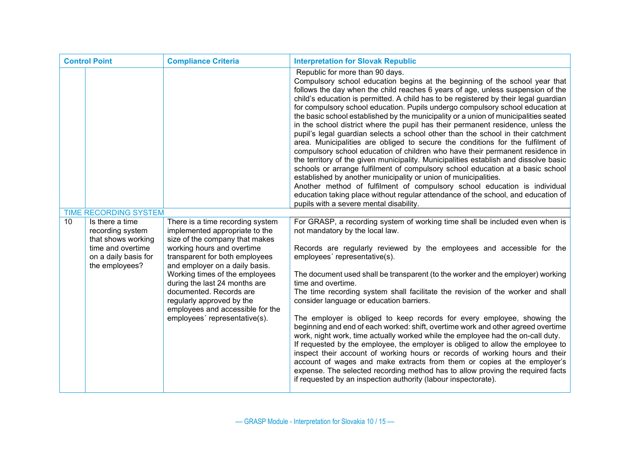| <b>Control Point</b>                                                                                                           | <b>Compliance Criteria</b>                                                                                                                                                                                                                                                                                                                                                                             | <b>Interpretation for Slovak Republic</b>                                                                                                                                                                                                                                                                                                                                                                                                                                                                                                                                                                                                                                                                                                                                                                                                                                                                                                                                                                                                                                                                                                                                                                                                                                 |
|--------------------------------------------------------------------------------------------------------------------------------|--------------------------------------------------------------------------------------------------------------------------------------------------------------------------------------------------------------------------------------------------------------------------------------------------------------------------------------------------------------------------------------------------------|---------------------------------------------------------------------------------------------------------------------------------------------------------------------------------------------------------------------------------------------------------------------------------------------------------------------------------------------------------------------------------------------------------------------------------------------------------------------------------------------------------------------------------------------------------------------------------------------------------------------------------------------------------------------------------------------------------------------------------------------------------------------------------------------------------------------------------------------------------------------------------------------------------------------------------------------------------------------------------------------------------------------------------------------------------------------------------------------------------------------------------------------------------------------------------------------------------------------------------------------------------------------------|
|                                                                                                                                |                                                                                                                                                                                                                                                                                                                                                                                                        | Republic for more than 90 days.<br>Compulsory school education begins at the beginning of the school year that<br>follows the day when the child reaches 6 years of age, unless suspension of the<br>child's education is permitted. A child has to be registered by their legal guardian<br>for compulsory school education. Pupils undergo compulsory school education at<br>the basic school established by the municipality or a union of municipalities seated<br>in the school district where the pupil has their permanent residence, unless the<br>pupil's legal guardian selects a school other than the school in their catchment<br>area. Municipalities are obliged to secure the conditions for the fulfilment of<br>compulsory school education of children who have their permanent residence in<br>the territory of the given municipality. Municipalities establish and dissolve basic<br>schools or arrange fulfilment of compulsory school education at a basic school<br>established by another municipality or union of municipalities.<br>Another method of fulfilment of compulsory school education is individual<br>education taking place without regular attendance of the school, and education of<br>pupils with a severe mental disability. |
| TIME RECORDING SYSTEM                                                                                                          |                                                                                                                                                                                                                                                                                                                                                                                                        |                                                                                                                                                                                                                                                                                                                                                                                                                                                                                                                                                                                                                                                                                                                                                                                                                                                                                                                                                                                                                                                                                                                                                                                                                                                                           |
| Is there a time<br>10<br>recording system<br>that shows working<br>time and overtime<br>on a daily basis for<br>the employees? | There is a time recording system<br>implemented appropriate to the<br>size of the company that makes<br>working hours and overtime<br>transparent for both employees<br>and employer on a daily basis.<br>Working times of the employees<br>during the last 24 months are<br>documented. Records are<br>regularly approved by the<br>employees and accessible for the<br>employees' representative(s). | For GRASP, a recording system of working time shall be included even when is<br>not mandatory by the local law.<br>Records are regularly reviewed by the employees and accessible for the<br>employees' representative(s).<br>The document used shall be transparent (to the worker and the employer) working<br>time and overtime.<br>The time recording system shall facilitate the revision of the worker and shall<br>consider language or education barriers.<br>The employer is obliged to keep records for every employee, showing the<br>beginning and end of each worked: shift, overtime work and other agreed overtime<br>work, night work, time actually worked while the employee had the on-call duty.<br>If requested by the employee, the employer is obliged to allow the employee to<br>inspect their account of working hours or records of working hours and their<br>account of wages and make extracts from them or copies at the employer's<br>expense. The selected recording method has to allow proving the required facts<br>if requested by an inspection authority (labour inspectorate).                                                                                                                                                    |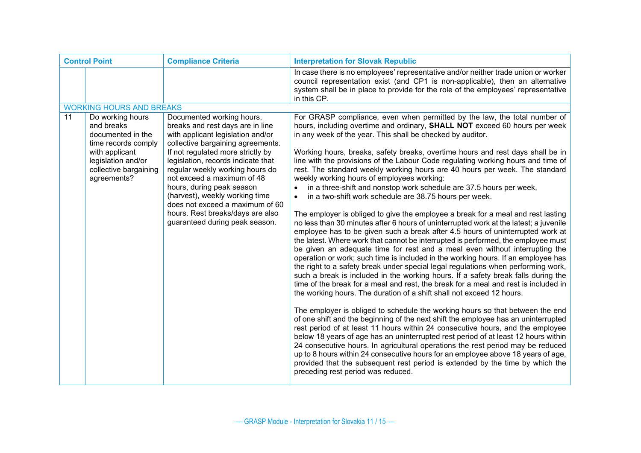| <b>Control Point</b> |                                                                                              | <b>Compliance Criteria</b>                                                                                                                                                   | <b>Interpretation for Slovak Republic</b>                                                                                                                                                                                                                                                                                                                                                                                                                                                                                                                                                                                                                                                                                                                                                                                                                      |
|----------------------|----------------------------------------------------------------------------------------------|------------------------------------------------------------------------------------------------------------------------------------------------------------------------------|----------------------------------------------------------------------------------------------------------------------------------------------------------------------------------------------------------------------------------------------------------------------------------------------------------------------------------------------------------------------------------------------------------------------------------------------------------------------------------------------------------------------------------------------------------------------------------------------------------------------------------------------------------------------------------------------------------------------------------------------------------------------------------------------------------------------------------------------------------------|
|                      |                                                                                              |                                                                                                                                                                              | In case there is no employees' representative and/or neither trade union or worker<br>council representation exist (and CP1 is non-applicable), then an alternative<br>system shall be in place to provide for the role of the employees' representative<br>in this CP.                                                                                                                                                                                                                                                                                                                                                                                                                                                                                                                                                                                        |
|                      | <b>WORKING HOURS AND BREAKS</b>                                                              |                                                                                                                                                                              |                                                                                                                                                                                                                                                                                                                                                                                                                                                                                                                                                                                                                                                                                                                                                                                                                                                                |
| 11                   | Do working hours<br>and breaks<br>documented in the<br>time records comply<br>with applicant | Documented working hours,<br>breaks and rest days are in line<br>with applicant legislation and/or<br>collective bargaining agreements.<br>If not regulated more strictly by | For GRASP compliance, even when permitted by the law, the total number of<br>hours, including overtime and ordinary, SHALL NOT exceed 60 hours per week<br>in any week of the year. This shall be checked by auditor.<br>Working hours, breaks, safety breaks, overtime hours and rest days shall be in                                                                                                                                                                                                                                                                                                                                                                                                                                                                                                                                                        |
|                      | legislation and/or<br>collective bargaining<br>agreements?                                   | legislation, records indicate that<br>regular weekly working hours do<br>not exceed a maximum of 48                                                                          | line with the provisions of the Labour Code regulating working hours and time of<br>rest. The standard weekly working hours are 40 hours per week. The standard<br>weekly working hours of employees working:                                                                                                                                                                                                                                                                                                                                                                                                                                                                                                                                                                                                                                                  |
|                      |                                                                                              | hours, during peak season<br>(harvest), weekly working time<br>does not exceed a maximum of 60                                                                               | in a three-shift and nonstop work schedule are 37.5 hours per week,<br>in a two-shift work schedule are 38.75 hours per week.                                                                                                                                                                                                                                                                                                                                                                                                                                                                                                                                                                                                                                                                                                                                  |
|                      |                                                                                              | hours. Rest breaks/days are also<br>guaranteed during peak season.                                                                                                           | The employer is obliged to give the employee a break for a meal and rest lasting<br>no less than 30 minutes after 6 hours of uninterrupted work at the latest; a juvenile<br>employee has to be given such a break after 4.5 hours of uninterrupted work at<br>the latest. Where work that cannot be interrupted is performed, the employee must<br>be given an adequate time for rest and a meal even without interrupting the<br>operation or work; such time is included in the working hours. If an employee has<br>the right to a safety break under special legal regulations when performing work,<br>such a break is included in the working hours. If a safety break falls during the<br>time of the break for a meal and rest, the break for a meal and rest is included in<br>the working hours. The duration of a shift shall not exceed 12 hours. |
|                      |                                                                                              |                                                                                                                                                                              | The employer is obliged to schedule the working hours so that between the end<br>of one shift and the beginning of the next shift the employee has an uninterrupted<br>rest period of at least 11 hours within 24 consecutive hours, and the employee<br>below 18 years of age has an uninterrupted rest period of at least 12 hours within<br>24 consecutive hours. In agricultural operations the rest period may be reduced<br>up to 8 hours within 24 consecutive hours for an employee above 18 years of age,<br>provided that the subsequent rest period is extended by the time by which the<br>preceding rest period was reduced.                                                                                                                                                                                                                      |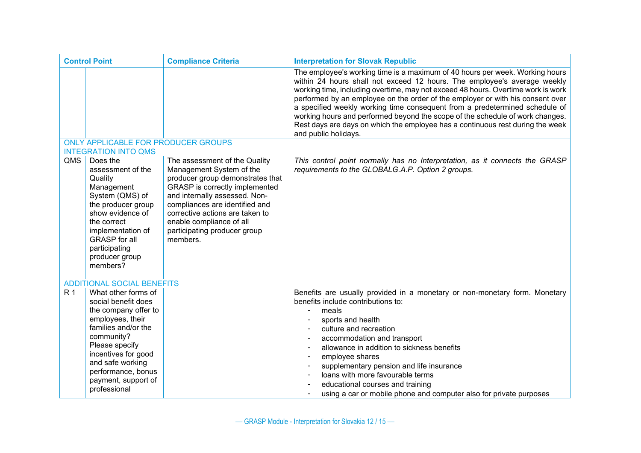| <b>Control Point</b> |                                                                                                                                                                                                                                                       | <b>Compliance Criteria</b>                                                                                                                                                                                                                                                                                    | <b>Interpretation for Slovak Republic</b>                                                                                                                                                                                                                                                                                                                                                                                                                                                                                                                                                                |
|----------------------|-------------------------------------------------------------------------------------------------------------------------------------------------------------------------------------------------------------------------------------------------------|---------------------------------------------------------------------------------------------------------------------------------------------------------------------------------------------------------------------------------------------------------------------------------------------------------------|----------------------------------------------------------------------------------------------------------------------------------------------------------------------------------------------------------------------------------------------------------------------------------------------------------------------------------------------------------------------------------------------------------------------------------------------------------------------------------------------------------------------------------------------------------------------------------------------------------|
|                      |                                                                                                                                                                                                                                                       |                                                                                                                                                                                                                                                                                                               | The employee's working time is a maximum of 40 hours per week. Working hours<br>within 24 hours shall not exceed 12 hours. The employee's average weekly<br>working time, including overtime, may not exceed 48 hours. Overtime work is work<br>performed by an employee on the order of the employer or with his consent over<br>a specified weekly working time consequent from a predetermined schedule of<br>working hours and performed beyond the scope of the schedule of work changes.<br>Rest days are days on which the employee has a continuous rest during the week<br>and public holidays. |
|                      | ONLY APPLICABLE FOR PRODUCER GROUPS<br><b>INTEGRATION INTO QMS</b>                                                                                                                                                                                    |                                                                                                                                                                                                                                                                                                               |                                                                                                                                                                                                                                                                                                                                                                                                                                                                                                                                                                                                          |
| QMS                  | Does the<br>assessment of the<br>Quality<br>Management<br>System (QMS) of<br>the producer group<br>show evidence of<br>the correct<br>implementation of<br><b>GRASP</b> for all<br>participating<br>producer group<br>members?                        | The assessment of the Quality<br>Management System of the<br>producer group demonstrates that<br>GRASP is correctly implemented<br>and internally assessed. Non-<br>compliances are identified and<br>corrective actions are taken to<br>enable compliance of all<br>participating producer group<br>members. | This control point normally has no Interpretation, as it connects the GRASP<br>requirements to the GLOBALG.A.P. Option 2 groups.                                                                                                                                                                                                                                                                                                                                                                                                                                                                         |
|                      | <b>ADDITIONAL SOCIAL BENEFITS</b>                                                                                                                                                                                                                     |                                                                                                                                                                                                                                                                                                               |                                                                                                                                                                                                                                                                                                                                                                                                                                                                                                                                                                                                          |
| R <sub>1</sub>       | What other forms of<br>social benefit does<br>the company offer to<br>employees, their<br>families and/or the<br>community?<br>Please specify<br>incentives for good<br>and safe working<br>performance, bonus<br>payment, support of<br>professional |                                                                                                                                                                                                                                                                                                               | Benefits are usually provided in a monetary or non-monetary form. Monetary<br>benefits include contributions to:<br>meals<br>$\overline{\phantom{a}}$<br>sports and health<br>culture and recreation<br>accommodation and transport<br>allowance in addition to sickness benefits<br>employee shares<br>supplementary pension and life insurance<br>loans with more favourable terms<br>educational courses and training<br>using a car or mobile phone and computer also for private purposes                                                                                                           |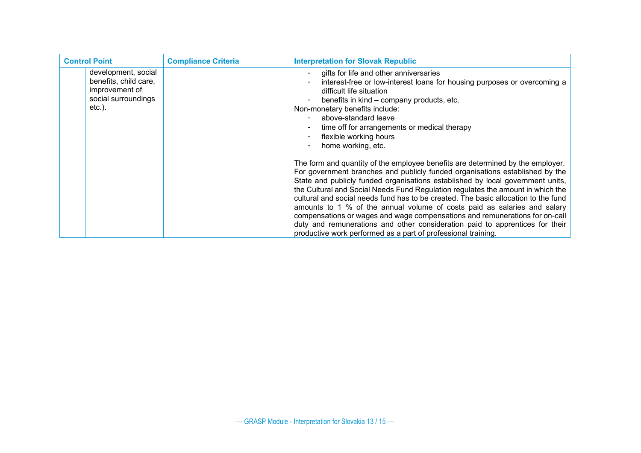| <b>Control Point</b>                                                                            | <b>Compliance Criteria</b> | <b>Interpretation for Slovak Republic</b>                                                                                                                                                                                                                                                                                                                                                                                                                                                                                                                                                                                                                                                                                                                                                                      |
|-------------------------------------------------------------------------------------------------|----------------------------|----------------------------------------------------------------------------------------------------------------------------------------------------------------------------------------------------------------------------------------------------------------------------------------------------------------------------------------------------------------------------------------------------------------------------------------------------------------------------------------------------------------------------------------------------------------------------------------------------------------------------------------------------------------------------------------------------------------------------------------------------------------------------------------------------------------|
| development, social<br>benefits, child care,<br>improvement of<br>social surroundings<br>etc.). |                            | gifts for life and other anniversaries<br>interest-free or low-interest loans for housing purposes or overcoming a<br>difficult life situation<br>benefits in kind - company products, etc.<br>$\overline{\phantom{a}}$<br>Non-monetary benefits include:<br>above-standard leave<br>time off for arrangements or medical therapy<br>flexible working hours<br>home working, etc.<br>The form and quantity of the employee benefits are determined by the employer.<br>For government branches and publicly funded organisations established by the<br>State and publicly funded organisations established by local government units,<br>the Cultural and Social Needs Fund Regulation regulates the amount in which the<br>cultural and social needs fund has to be created. The basic allocation to the fund |
|                                                                                                 |                            | amounts to 1 % of the annual volume of costs paid as salaries and salary<br>compensations or wages and wage compensations and remunerations for on-call<br>duty and remunerations and other consideration paid to apprentices for their<br>productive work performed as a part of professional training.                                                                                                                                                                                                                                                                                                                                                                                                                                                                                                       |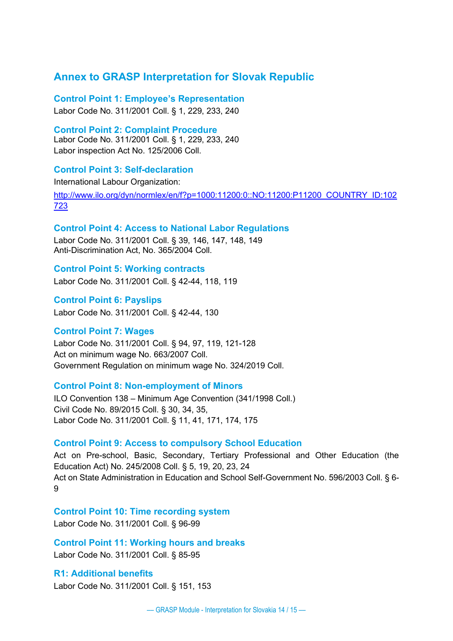### **Annex to GRASP Interpretation for Slovak Republic**

**Control Point 1: Employee's Representation**

Labor Code No. 311/2001 Coll. § 1, 229, 233, 240

**Control Point 2: Complaint Procedure** Labor Code No. 311/2001 Coll. § 1, 229, 233, 240 Labor inspection Act No. 125/2006 Coll.

#### **Control Point 3: Self-declaration**

International Labour Organization:

[http://www.ilo.org/dyn/normlex/en/f?p=1000:11200:0::NO:11200:P11200\\_COUNTRY\\_ID:102](http://www.ilo.org/dyn/normlex/en/f?p=1000:11200:0::NO:11200:P11200_COUNTRY_ID:102723) [723](http://www.ilo.org/dyn/normlex/en/f?p=1000:11200:0::NO:11200:P11200_COUNTRY_ID:102723)

#### **Control Point 4: Access to National Labor Regulations**

Labor Code No. 311/2001 Coll. § 39, 146, 147, 148, 149 Anti-Discrimination Act, No. 365/2004 Coll.

**Control Point 5: Working contracts** Labor Code No. 311/2001 Coll. § 42-44, 118, 119

**Control Point 6: Payslips** Labor Code No. 311/2001 Coll. § 42-44, 130

#### **Control Point 7: Wages**

Labor Code No. 311/2001 Coll. § 94, 97, 119, 121-128 Act on minimum wage No. 663/2007 Coll. Government Regulation on minimum wage No. 324/2019 Coll.

#### **Control Point 8: Non-employment of Minors**

ILO Convention 138 – Minimum Age Convention (341/1998 Coll.) Civil Code No. 89/2015 Coll. § 30, 34, 35, Labor Code No. 311/2001 Coll. § 11, 41, 171, 174, 175

#### **Control Point 9: Access to compulsory School Education**

Act on Pre-school, Basic, Secondary, Tertiary Professional and Other Education (the Education Act) No. 245/2008 Coll. § 5, 19, 20, 23, 24 Act on State Administration in Education and School Self-Government No. 596/2003 Coll. § 6- 9

**Control Point 10: Time recording system**

Labor Code No. 311/2001 Coll. § 96-99

**Control Point 11: Working hours and breaks** Labor Code No. 311/2001 Coll. § 85-95

**R1: Additional benefits** Labor Code No. 311/2001 Coll. § 151, 153